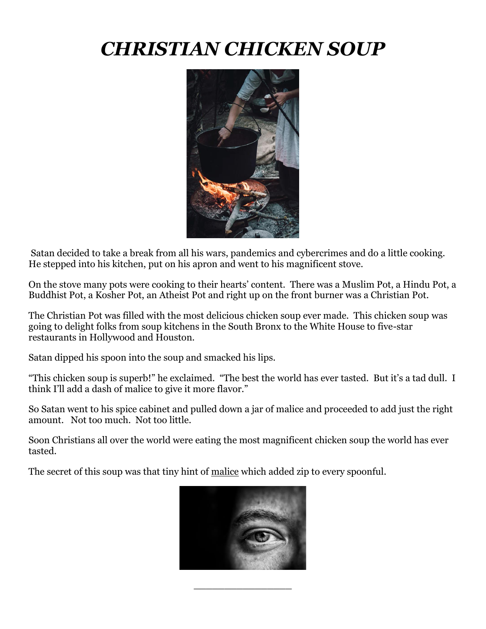# *CHRISTIAN CHICKEN SOUP*



Satan decided to take a break from all his wars, pandemics and cybercrimes and do a little cooking. He stepped into his kitchen, put on his apron and went to his magnificent stove.

On the stove many pots were cooking to their hearts' content. There was a Muslim Pot, a Hindu Pot, a Buddhist Pot, a Kosher Pot, an Atheist Pot and right up on the front burner was a Christian Pot.

The Christian Pot was filled with the most delicious chicken soup ever made. This chicken soup was going to delight folks from soup kitchens in the South Bronx to the White House to five-star restaurants in Hollywood and Houston.

Satan dipped his spoon into the soup and smacked his lips.

"This chicken soup is superb!" he exclaimed. "The best the world has ever tasted. But it's a tad dull. I think I'll add a dash of malice to give it more flavor."

So Satan went to his spice cabinet and pulled down a jar of malice and proceeded to add just the right amount. Not too much. Not too little.

Soon Christians all over the world were eating the most magnificent chicken soup the world has ever tasted.

The secret of this soup was that tiny hint of <u>malice</u> which added zip to every spoonful.



\_\_\_\_\_\_\_\_\_\_\_\_\_\_\_\_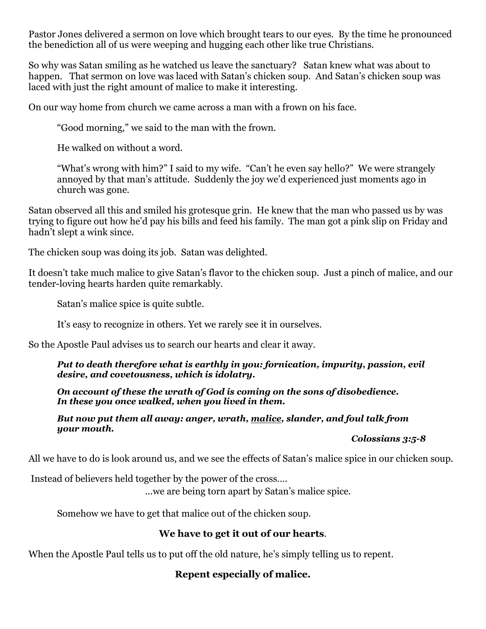Pastor Jones delivered a sermon on love which brought tears to our eyes. By the time he pronounced the benediction all of us were weeping and hugging each other like true Christians.

So why was Satan smiling as he watched us leave the sanctuary? Satan knew what was about to happen. That sermon on love was laced with Satan's chicken soup. And Satan's chicken soup was laced with just the right amount of malice to make it interesting.

On our way home from church we came across a man with a frown on his face.

"Good morning," we said to the man with the frown.

He walked on without a word.

"What's wrong with him?" I said to my wife. "Can't he even say hello?" We were strangely annoyed by that man's attitude. Suddenly the joy we'd experienced just moments ago in church was gone.

Satan observed all this and smiled his grotesque grin. He knew that the man who passed us by was trying to figure out how he'd pay his bills and feed his family. The man got a pink slip on Friday and hadn't slept a wink since.

The chicken soup was doing its job. Satan was delighted.

It doesn't take much malice to give Satan's flavor to the chicken soup. Just a pinch of malice, and our tender-loving hearts harden quite remarkably.

Satan's malice spice is quite subtle.

It's easy to recognize in others. Yet we rarely see it in ourselves.

So the Apostle Paul advises us to search our hearts and clear it away.

*Put to death therefore what is earthly in you: fornication, impurity, passion, evil desire, and covetousness, which is idolatry.*

*On account of these the wrath of God is coming on the sons of disobedience. In these you once walked, when you lived in them.*

*But now put them all away: anger, wrath, malice, slander, and foul talk from your mouth.*

*Colossians 3:5-8*

All we have to do is look around us, and we see the effects of Satan's malice spice in our chicken soup.

Instead of believers held together by the power of the cross….

...we are being torn apart by Satan's malice spice.

Somehow we have to get that malice out of the chicken soup.

### **We have to get it out of our hearts**.

When the Apostle Paul tells us to put off the old nature, he's simply telling us to repent.

### **Repent especially of malice.**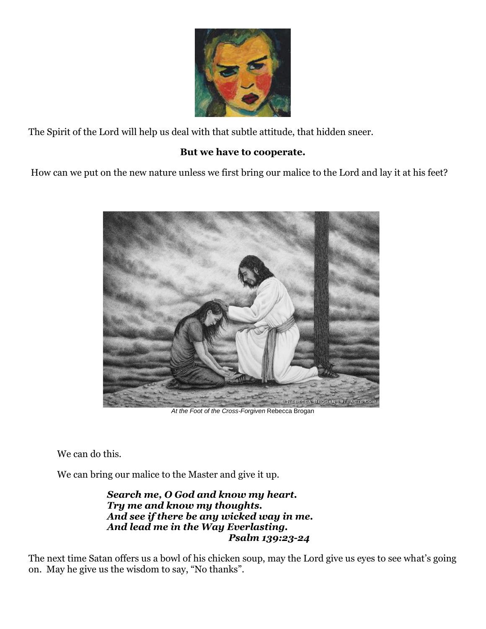

The Spirit of the Lord will help us deal with that subtle attitude, that hidden sneer.

# **But we have to cooperate.**

How can we put on the new nature unless we first bring our malice to the Lord and lay it at his feet?



*At the Foot of the Cross-Forgiven* Rebecca Brogan

We can do this.

We can bring our malice to the Master and give it up.

*Search me, O God and know my heart. Try me and know my thoughts. And see if there be any wicked way in me. And lead me in the Way Everlasting. Psalm 139:23-24*

The next time Satan offers us a bowl of his chicken soup, may the Lord give us eyes to see what's going on. May he give us the wisdom to say, "No thanks".